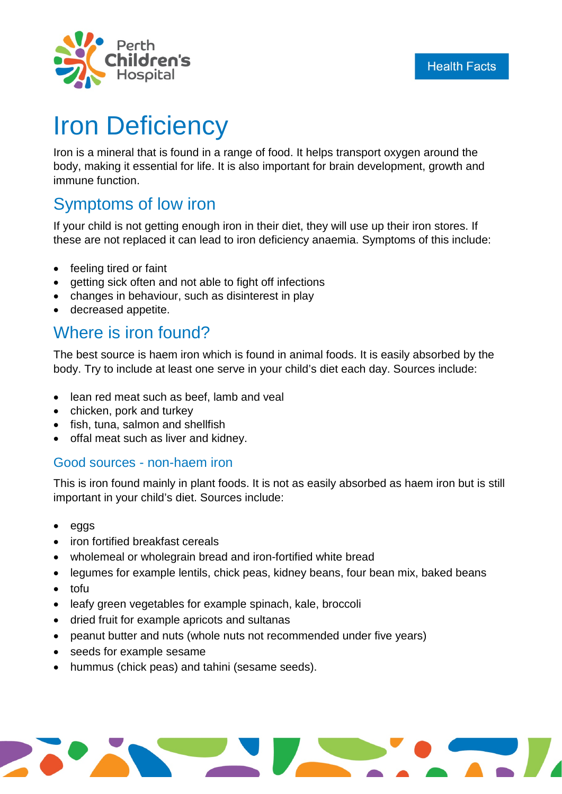

# Iron Deficiency

Iron is a mineral that is found in a range of food. It helps transport oxygen around the body, making it essential for life. It is also important for brain development, growth and immune function.

### Symptoms of low iron

If your child is not getting enough iron in their diet, they will use up their iron stores. If these are not replaced it can lead to iron deficiency anaemia. Symptoms of this include:

- feeling tired or faint
- getting sick often and not able to fight off infections
- changes in behaviour, such as disinterest in play
- decreased appetite.

### Where is iron found?

The best source is haem iron which is found in animal foods. It is easily absorbed by the body. Try to include at least one serve in your child's diet each day. Sources include:

- lean red meat such as beef, lamb and veal
- chicken, pork and turkey
- fish, tuna, salmon and shellfish
- offal meat such as liver and kidney.

#### Good sources - non-haem iron

This is iron found mainly in plant foods. It is not as easily absorbed as haem iron but is still important in your child's diet. Sources include:

- eggs
- iron fortified breakfast cereals
- wholemeal or wholegrain bread and iron-fortified white bread
- legumes for example lentils, chick peas, kidney beans, four bean mix, baked beans
- tofu
- leafy green vegetables for example spinach, kale, broccoli
- dried fruit for example apricots and sultanas
- peanut butter and nuts (whole nuts not recommended under five years)
- seeds for example sesame
- hummus (chick peas) and tahini (sesame seeds).

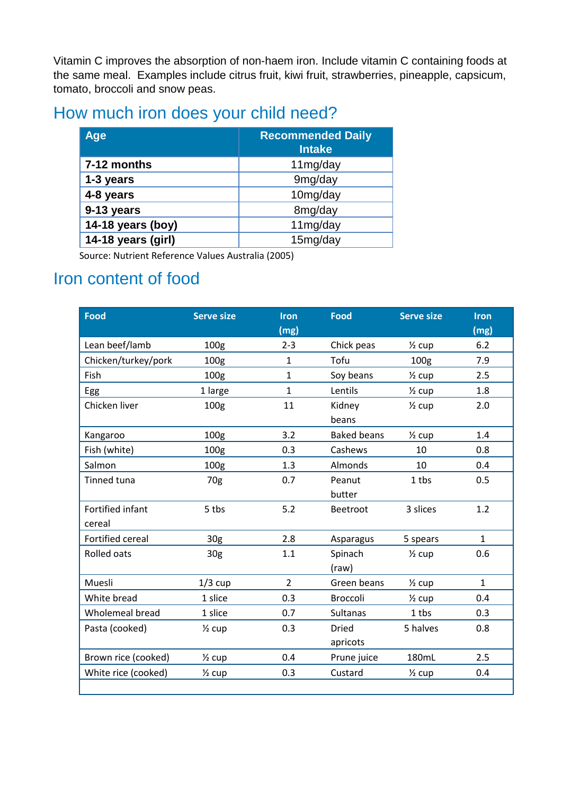Vitamin C improves the absorption of non-haem iron. Include vitamin C containing foods at the same meal. Examples include citrus fruit, kiwi fruit, strawberries, pineapple, capsicum, tomato, broccoli and snow peas.

# How much iron does your child need?

| Age                | <b>Recommended Daily</b><br><b>Intake</b> |
|--------------------|-------------------------------------------|
| 7-12 months        | 11mg/day                                  |
| 1-3 years          | 9mg/day                                   |
| 4-8 years          | 10mg/day                                  |
| 9-13 years         | 8mg/day                                   |
| 14-18 years (boy)  | 11mg/day                                  |
| 14-18 years (girl) | 15mg/day                                  |

Source: Nutrient Reference Values Australia (2005)

## Iron content of food

| <b>Food</b>         | <b>Serve size</b> | <b>Iron</b>    | <b>Food</b>        | <b>Serve size</b> | <b>Iron</b>  |
|---------------------|-------------------|----------------|--------------------|-------------------|--------------|
|                     |                   | (mg)           |                    |                   | (mg)         |
| Lean beef/lamb      | 100g              | $2 - 3$        | Chick peas         | $\frac{1}{2}$ cup | 6.2          |
| Chicken/turkey/pork | 100 <sub>g</sub>  | 1              | Tofu               | 100 <sub>g</sub>  | 7.9          |
| Fish                | 100 <sub>g</sub>  | 1              | Soy beans          | $\frac{1}{2}$ cup | 2.5          |
| Egg                 | 1 large           | $\mathbf{1}$   | Lentils            | $\frac{1}{2}$ cup | 1.8          |
| Chicken liver       | 100 <sub>g</sub>  | 11             | Kidney             | $\frac{1}{2}$ cup | 2.0          |
|                     |                   |                | beans              |                   |              |
| Kangaroo            | 100 <sub>g</sub>  | 3.2            | <b>Baked beans</b> | $\frac{1}{2}$ cup | 1.4          |
| Fish (white)        | 100 <sub>g</sub>  | 0.3            | Cashews            | 10                | 0.8          |
| Salmon              | 100 <sub>g</sub>  | 1.3            | Almonds            | 10                | 0.4          |
| Tinned tuna         | 70g               | 0.7            | Peanut             | 1 tbs             | 0.5          |
|                     |                   |                | butter             |                   |              |
| Fortified infant    | 5 tbs             | 5.2            | Beetroot           | 3 slices          | 1.2          |
| cereal              |                   |                |                    |                   |              |
| Fortified cereal    | 30 <sub>g</sub>   | 2.8            | Asparagus          | 5 spears          | $\mathbf{1}$ |
| <b>Rolled oats</b>  | 30 <sub>g</sub>   | 1.1            | Spinach            | $\frac{1}{2}$ cup | 0.6          |
|                     |                   |                | (raw)              |                   |              |
| Muesli              | $1/3$ cup         | $\overline{2}$ | Green beans        | $\frac{1}{2}$ cup | $\mathbf{1}$ |
| White bread         | 1 slice           | 0.3            | <b>Broccoli</b>    | $\frac{1}{2}$ cup | 0.4          |
| Wholemeal bread     | 1 slice           | 0.7            | <b>Sultanas</b>    | 1 tbs             | 0.3          |
| Pasta (cooked)      | $\frac{1}{2}$ cup | 0.3            | <b>Dried</b>       | 5 halves          | 0.8          |
|                     |                   |                | apricots           |                   |              |
| Brown rice (cooked) | $\frac{1}{2}$ cup | 0.4            | Prune juice        | 180mL             | 2.5          |
| White rice (cooked) | $\frac{1}{2}$ cup | 0.3            | Custard            | $\frac{1}{2}$ cup | 0.4          |
|                     |                   |                |                    |                   |              |